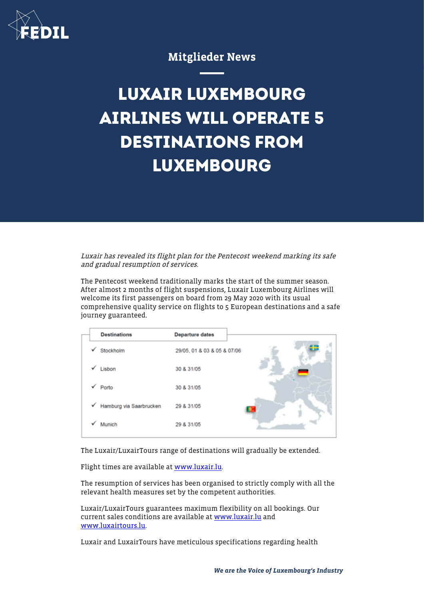

## Mitglieder News

## **LUXAIR LUXEMBOURG AIRLINES WILL OPERATE 5 DESTINATIONS FROM LUXEMBOURG**

Luxair has revealed its flight plan for the Pentecost weekend marking its safe and gradual resumption of services.

The Pentecost weekend traditionally marks the start of the summer season. After almost 2 months of flight suspensions, Luxair Luxembourg Airlines will welcome its first passengers on board from 29 May 2020 with its usual comprehensive quality service on flights to 5 European destinations and a safe journey guaranteed.

|   | <b>Destinations</b>     | <b>Departure dates</b>      |
|---|-------------------------|-----------------------------|
| ✓ | Stockholm               | 29/05, 01 & 03 & 05 & 07/06 |
|   | Lisbon                  | 30 & 31/05                  |
| ✓ | Porto                   | 30 & 31/05                  |
| √ | Hamburg via Saarbrucken | 29 & 31/05                  |
|   | Munich                  | 29 & 31/05                  |

The Luxair/LuxairTours range of destinations will gradually be extended.

Flight times are available at [www.luxair.lu](http://www.luxair.lu).

The resumption of services has been organised to strictly comply with all the relevant health measures set by the competent authorities.

Luxair/LuxairTours guarantees maximum flexibility on all bookings. Our current sales conditions are available at [www.luxair.lu](http://www.luxair.lu) and [www.luxairtours.lu](http://www.luxairtours.lu).

Luxair and LuxairTours have meticulous specifications regarding health